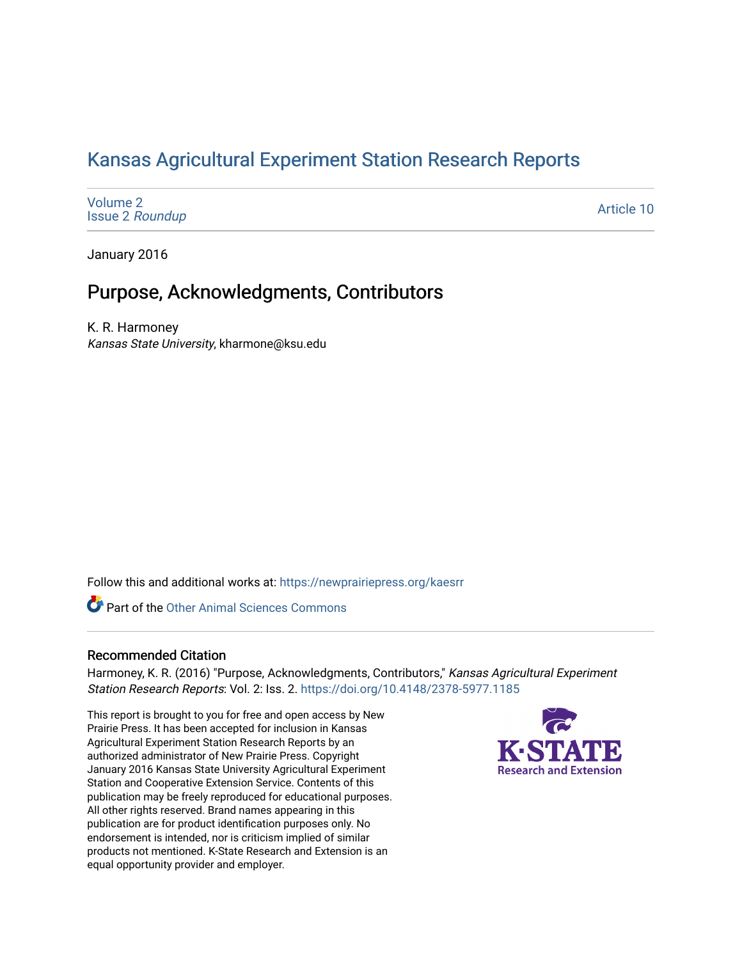### [Kansas Agricultural Experiment Station Research Reports](https://newprairiepress.org/kaesrr)

[Volume 2](https://newprairiepress.org/kaesrr/vol2) Issue 2 [Roundup](https://newprairiepress.org/kaesrr/vol2/iss2)

[Article 10](https://newprairiepress.org/kaesrr/vol2/iss2/10) 

January 2016

### Purpose, Acknowledgments, Contributors

K. R. Harmoney Kansas State University, kharmone@ksu.edu

Follow this and additional works at: [https://newprairiepress.org/kaesrr](https://newprairiepress.org/kaesrr?utm_source=newprairiepress.org%2Fkaesrr%2Fvol2%2Fiss2%2F10&utm_medium=PDF&utm_campaign=PDFCoverPages) 

Part of the [Other Animal Sciences Commons](http://network.bepress.com/hgg/discipline/82?utm_source=newprairiepress.org%2Fkaesrr%2Fvol2%2Fiss2%2F10&utm_medium=PDF&utm_campaign=PDFCoverPages)

#### Recommended Citation

Harmoney, K. R. (2016) "Purpose, Acknowledgments, Contributors," Kansas Agricultural Experiment Station Research Reports: Vol. 2: Iss. 2.<https://doi.org/10.4148/2378-5977.1185>

This report is brought to you for free and open access by New Prairie Press. It has been accepted for inclusion in Kansas Agricultural Experiment Station Research Reports by an authorized administrator of New Prairie Press. Copyright January 2016 Kansas State University Agricultural Experiment Station and Cooperative Extension Service. Contents of this publication may be freely reproduced for educational purposes. All other rights reserved. Brand names appearing in this publication are for product identification purposes only. No endorsement is intended, nor is criticism implied of similar products not mentioned. K-State Research and Extension is an equal opportunity provider and employer.

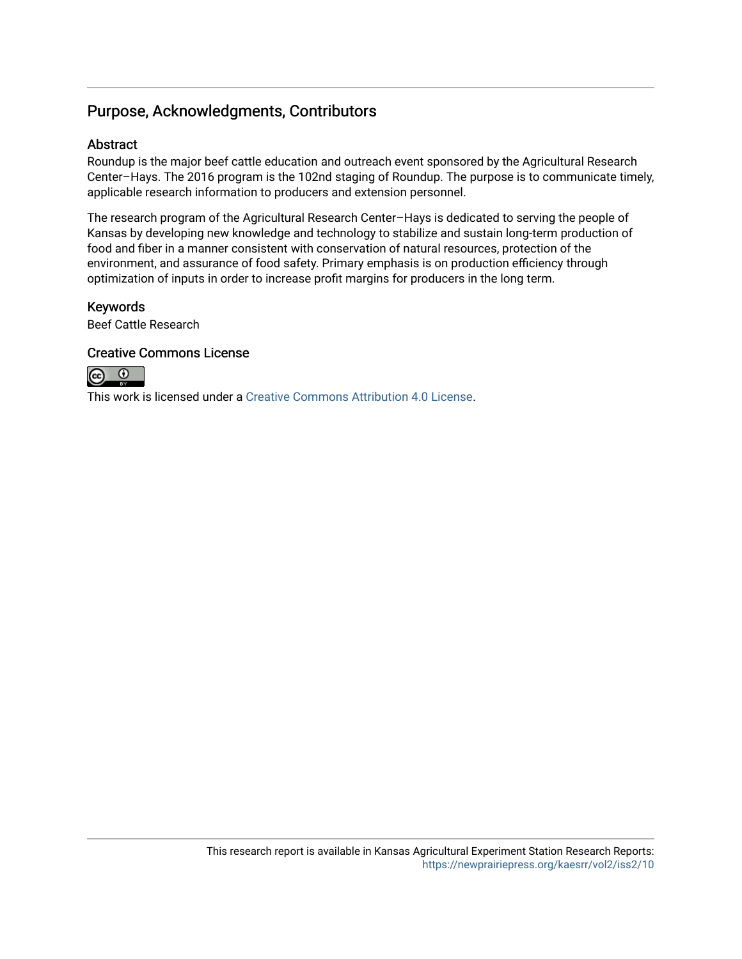#### Purpose, Acknowledgments, Contributors

#### **Abstract**

Roundup is the major beef cattle education and outreach event sponsored by the Agricultural Research Center–Hays. The 2016 program is the 102nd staging of Roundup. The purpose is to communicate timely, applicable research information to producers and extension personnel.

The research program of the Agricultural Research Center–Hays is dedicated to serving the people of Kansas by developing new knowledge and technology to stabilize and sustain long-term production of food and fiber in a manner consistent with conservation of natural resources, protection of the environment, and assurance of food safety. Primary emphasis is on production efficiency through optimization of inputs in order to increase profit margins for producers in the long term.

#### Keywords

Beef Cattle Research

#### Creative Commons License



This work is licensed under a [Creative Commons Attribution 4.0 License](https://creativecommons.org/licenses/by/4.0/).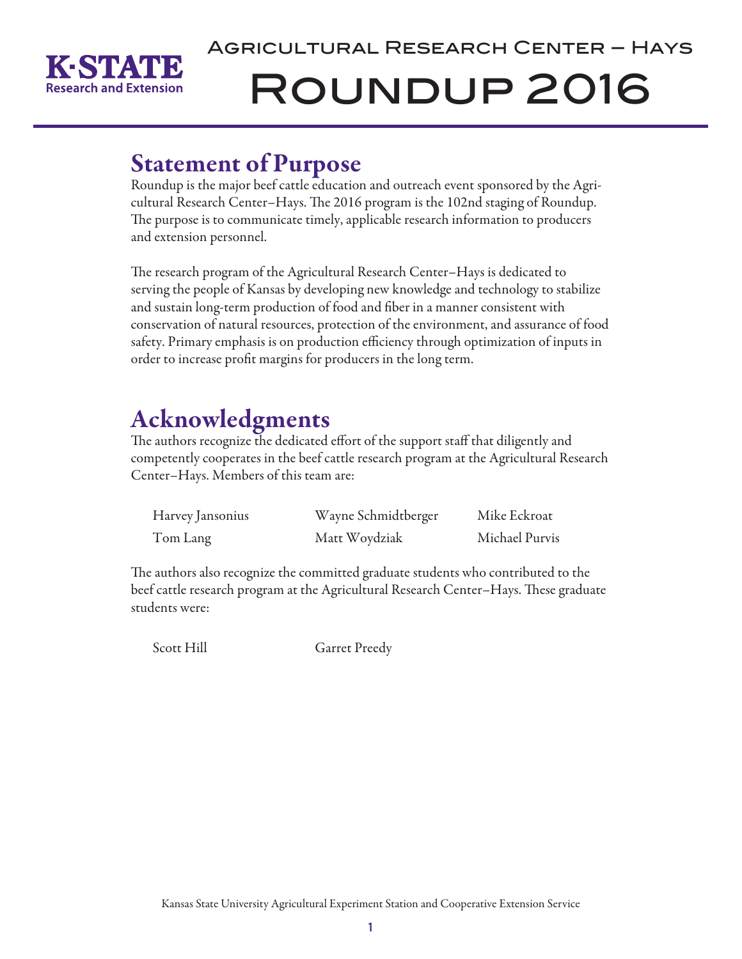

# Agricultural Research Center – Hays Roundup 2016

## Statement of Purpose

Roundup is the major beef cattle education and outreach event sponsored by the Agricultural Research Center–Hays. The 2016 program is the 102nd staging of Roundup. The purpose is to communicate timely, applicable research information to producers and extension personnel.

The research program of the Agricultural Research Center–Hays is dedicated to serving the people of Kansas by developing new knowledge and technology to stabilize and sustain long-term production of food and fiber in a manner consistent with conservation of natural resources, protection of the environment, and assurance of food safety. Primary emphasis is on production efficiency through optimization of inputs in order to increase profit margins for producers in the long term.

## Acknowledgments

The authors recognize the dedicated effort of the support staff that diligently and competently cooperates in the beef cattle research program at the Agricultural Research Center–Hays. Members of this team are:

| Harvey Jansonius | Wayne Schmidtberger | Mike Eckroat   |
|------------------|---------------------|----------------|
| Tom Lang         | Matt Woydziak       | Michael Purvis |

The authors also recognize the committed graduate students who contributed to the beef cattle research program at the Agricultural Research Center–Hays. These graduate students were:

Scott Hill Garret Preedy